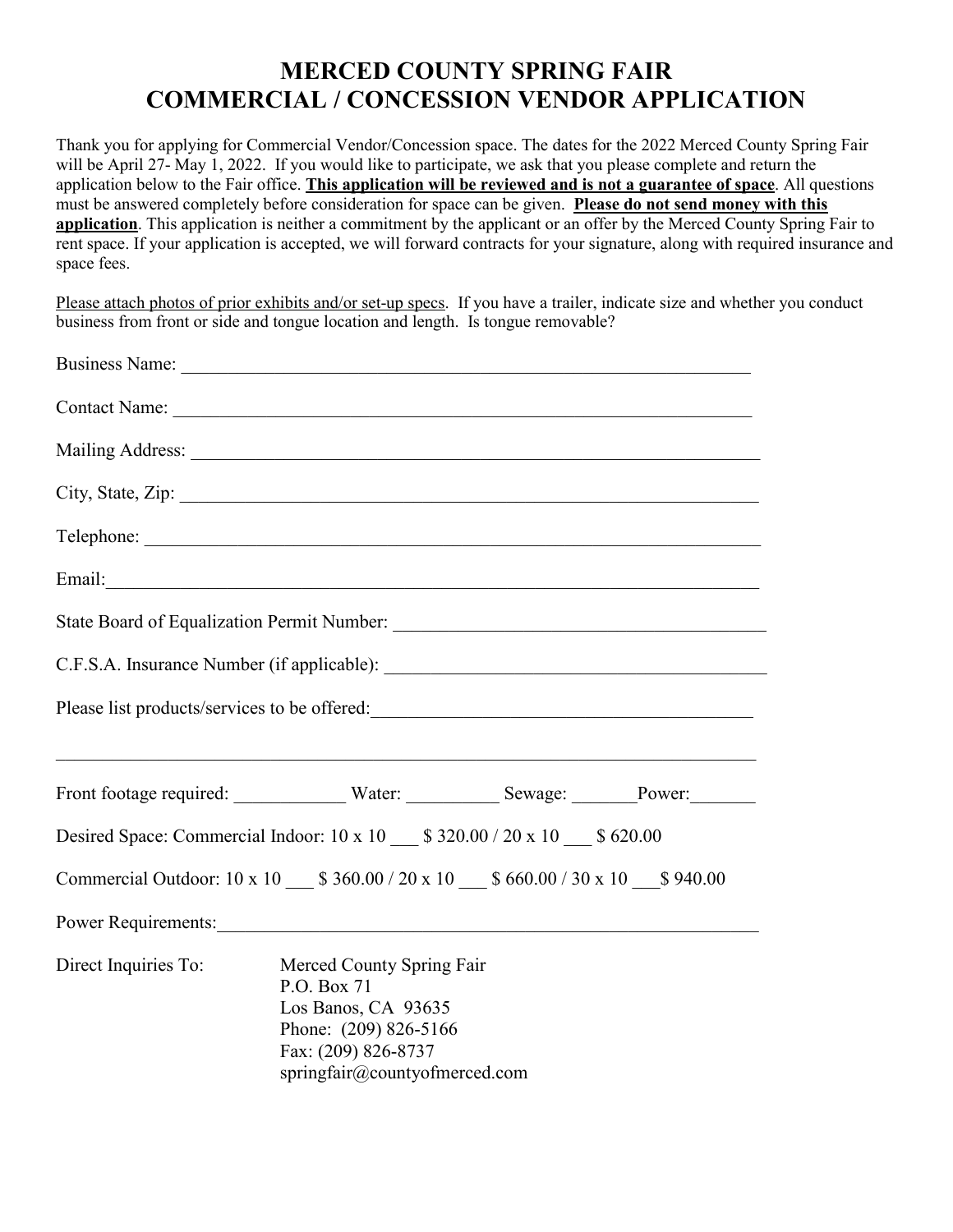# **MERCED COUNTY SPRING FAIR COMMERCIAL / CONCESSION VENDOR APPLICATION**

Thank you for applying for Commercial Vendor/Concession space. The dates for the 2022 Merced County Spring Fair will be April 27- May 1, 2022. If you would like to participate, we ask that you please complete and return the application below to the Fair office. **This application will be reviewed and is not a guarantee of space**. All questions must be answered completely before consideration for space can be given. **Please do not send money with this application**. This application is neither a commitment by the applicant or an offer by the Merced County Spring Fair to rent space. If your application is accepted, we will forward contracts for your signature, along with required insurance and space fees.

Please attach photos of prior exhibits and/or set-up specs. If you have a trailer, indicate size and whether you conduct business from front or side and tongue location and length. Is tongue removable?

|                      | Business Name:                                                                                                                                                                                                                 |  |
|----------------------|--------------------------------------------------------------------------------------------------------------------------------------------------------------------------------------------------------------------------------|--|
|                      |                                                                                                                                                                                                                                |  |
|                      |                                                                                                                                                                                                                                |  |
|                      |                                                                                                                                                                                                                                |  |
|                      | Telephone:                                                                                                                                                                                                                     |  |
|                      |                                                                                                                                                                                                                                |  |
|                      |                                                                                                                                                                                                                                |  |
|                      |                                                                                                                                                                                                                                |  |
|                      | Please list products/services to be offered:                                                                                                                                                                                   |  |
|                      |                                                                                                                                                                                                                                |  |
|                      | Desired Space: Commercial Indoor: 10 x 10 ___ \$ 320.00 / 20 x 10 ___ \$ 620.00                                                                                                                                                |  |
|                      | Commercial Outdoor: 10 x 10 ___ \$ 360.00 / 20 x 10 ___ \$ 660.00 / 30 x 10 ___ \$ 940.00                                                                                                                                      |  |
|                      | Power Requirements: New York Contact the Contract of the Contract of the Contract of the Contract of the Contract of the Contract of the Contract of the Contract of the Contract of the Contract of the Contract of the Contr |  |
| Direct Inquiries To: | Merced County Spring Fair<br>P.O. Box 71<br>Los Banos, CA 93635<br>Phone: (209) 826-5166<br>Fax: (209) 826-8737<br>springfair@countyofmerced.com                                                                               |  |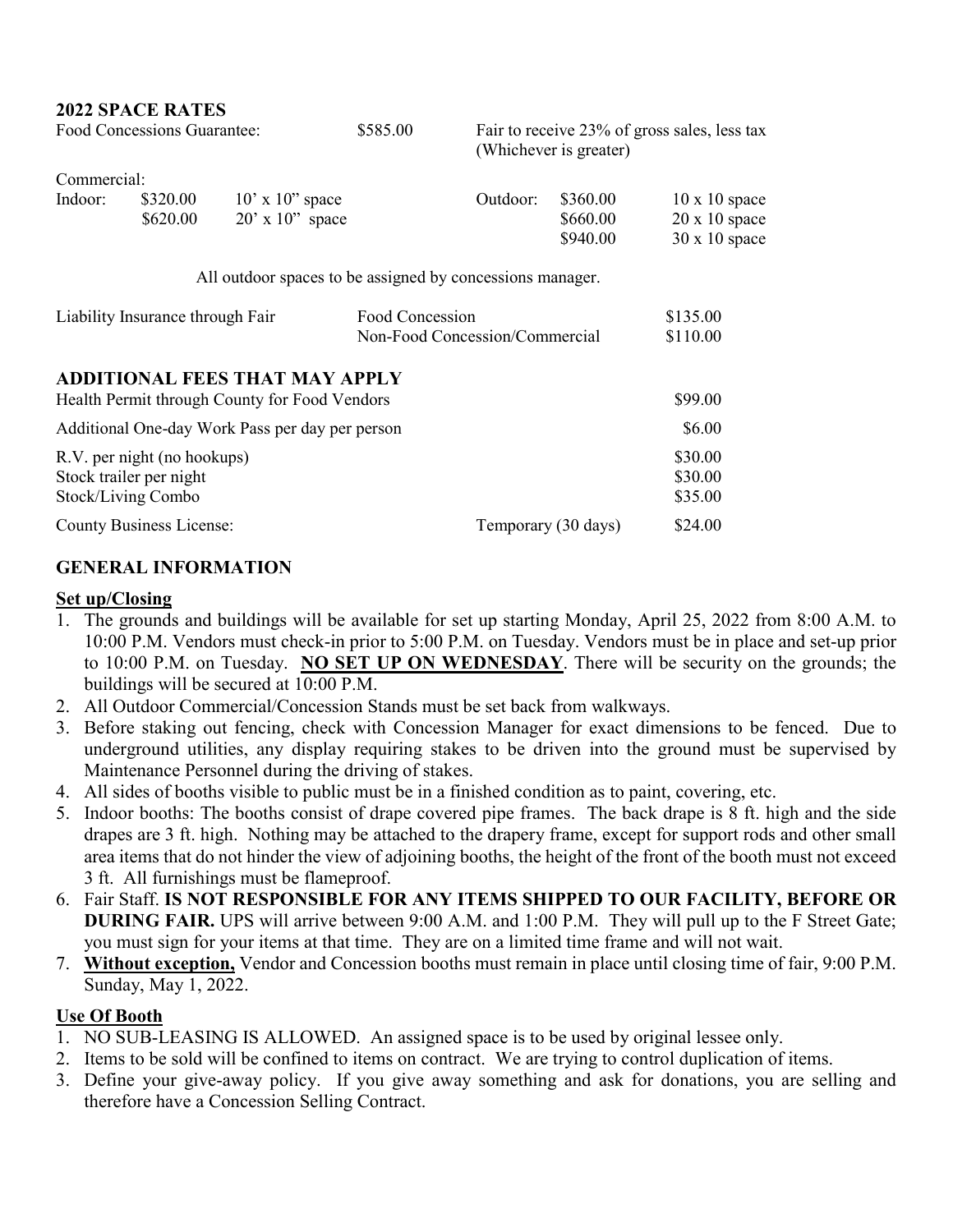| Food Concessions Guarantee:                     |                                 | \$585.00                                                  |  | Fair to receive 23% of gross sales, less tax<br>(Whichever is greater) |                     |                      |
|-------------------------------------------------|---------------------------------|-----------------------------------------------------------|--|------------------------------------------------------------------------|---------------------|----------------------|
| Commercial:                                     |                                 |                                                           |  |                                                                        |                     |                      |
| Indoor:                                         | \$320.00                        | $10'$ x $10''$ space                                      |  | Outdoor:                                                               | \$360.00            | $10 \times 10$ space |
|                                                 | \$620.00                        | $20'$ x $10''$ space                                      |  |                                                                        | \$660.00            | $20 \times 10$ space |
|                                                 |                                 |                                                           |  |                                                                        | \$940.00            | $30 \times 10$ space |
|                                                 |                                 | All outdoor spaces to be assigned by concessions manager. |  |                                                                        |                     |                      |
| Liability Insurance through Fair                |                                 | Food Concession                                           |  |                                                                        | \$135.00            |                      |
|                                                 |                                 | Non-Food Concession/Commercial                            |  |                                                                        | \$110.00            |                      |
|                                                 |                                 | <b>ADDITIONAL FEES THAT MAY APPLY</b>                     |  |                                                                        |                     |                      |
| Health Permit through County for Food Vendors   |                                 |                                                           |  |                                                                        | \$99.00             |                      |
| Additional One-day Work Pass per day per person |                                 |                                                           |  | \$6.00                                                                 |                     |                      |
|                                                 | R.V. per night (no hookups)     |                                                           |  |                                                                        |                     | \$30.00              |
|                                                 | Stock trailer per night         |                                                           |  |                                                                        |                     | \$30.00              |
|                                                 | Stock/Living Combo              |                                                           |  |                                                                        |                     | \$35.00              |
|                                                 | <b>County Business License:</b> |                                                           |  |                                                                        | Temporary (30 days) | \$24.00              |

### **GENERAL INFORMATION**

#### **Set up/Closing**

- 1. The grounds and buildings will be available for set up starting Monday, April 25, 2022 from 8:00 A.M. to 10:00 P.M. Vendors must check-in prior to 5:00 P.M. on Tuesday. Vendors must be in place and set-up prior to 10:00 P.M. on Tuesday. **NO SET UP ON WEDNESDAY**. There will be security on the grounds; the buildings will be secured at 10:00 P.M.
- 2. All Outdoor Commercial/Concession Stands must be set back from walkways.
- 3. Before staking out fencing, check with Concession Manager for exact dimensions to be fenced. Due to underground utilities, any display requiring stakes to be driven into the ground must be supervised by Maintenance Personnel during the driving of stakes.
- 4. All sides of booths visible to public must be in a finished condition as to paint, covering, etc.
- 5. Indoor booths: The booths consist of drape covered pipe frames. The back drape is 8 ft. high and the side drapes are 3 ft. high. Nothing may be attached to the drapery frame, except for support rods and other small area items that do not hinder the view of adjoining booths, the height of the front of the booth must not exceed 3 ft. All furnishings must be flameproof.
- 6. Fair Staff. **IS NOT RESPONSIBLE FOR ANY ITEMS SHIPPED TO OUR FACILITY, BEFORE OR DURING FAIR.** UPS will arrive between 9:00 A.M. and 1:00 P.M. They will pull up to the F Street Gate; you must sign for your items at that time. They are on a limited time frame and will not wait.
- 7. **Without exception,** Vendor and Concession booths must remain in place until closing time of fair, 9:00 P.M. Sunday, May 1, 2022.

### **Use Of Booth**

- 1. NO SUB-LEASING IS ALLOWED. An assigned space is to be used by original lessee only.
- 2. Items to be sold will be confined to items on contract. We are trying to control duplication of items.
- 3. Define your give-away policy. If you give away something and ask for donations, you are selling and therefore have a Concession Selling Contract.